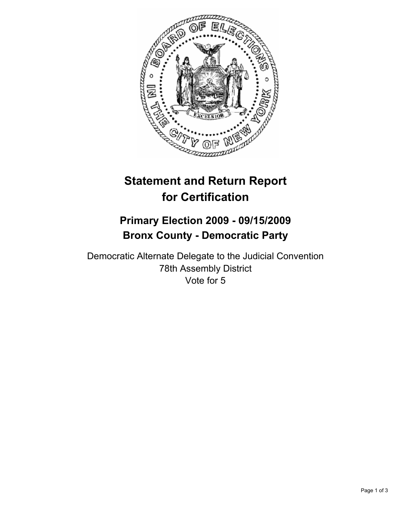

# **Statement and Return Report for Certification**

# **Primary Election 2009 - 09/15/2009 Bronx County - Democratic Party**

Democratic Alternate Delegate to the Judicial Convention 78th Assembly District Vote for 5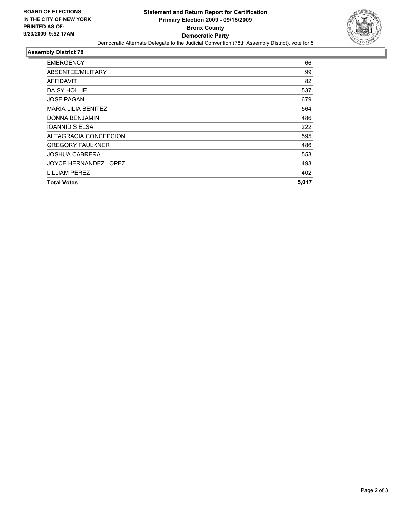

#### **Assembly District 78**

| <b>EMERGENCY</b>             | 66    |
|------------------------------|-------|
| ABSENTEE/MILITARY            | 99    |
| <b>AFFIDAVIT</b>             | 82    |
| <b>DAISY HOLLIE</b>          | 537   |
| <b>JOSE PAGAN</b>            | 679   |
| <b>MARIA LILIA BENITEZ</b>   | 564   |
| DONNA BENJAMIN               | 486   |
| <b>IOANNIDIS ELSA</b>        | 222   |
| ALTAGRACIA CONCEPCION        | 595   |
| <b>GREGORY FAULKNER</b>      | 486   |
| <b>JOSHUA CABRERA</b>        | 553   |
| <b>JOYCE HERNANDEZ LOPEZ</b> | 493   |
| LILLIAM PEREZ                | 402   |
| <b>Total Votes</b>           | 5,017 |